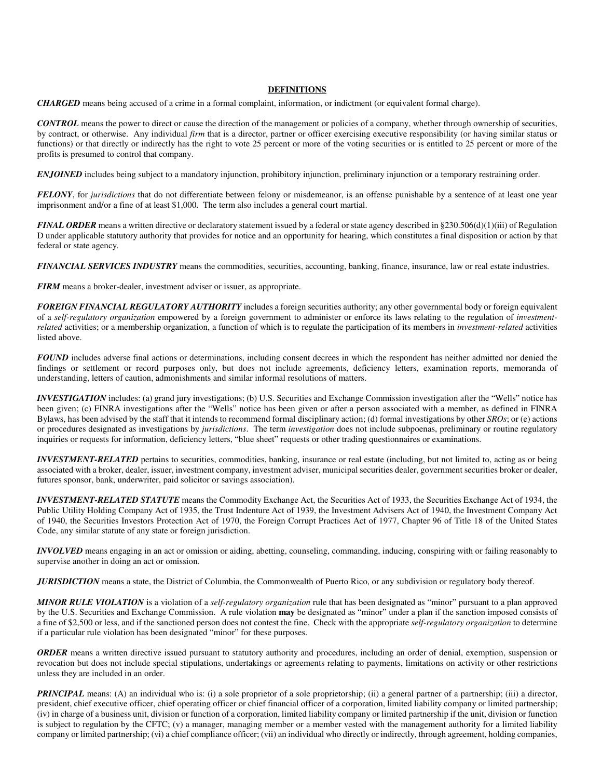## **DEFINITIONS**

*CHARGED* means being accused of a crime in a formal complaint, information, or indictment (or equivalent formal charge).

*CONTROL* means the power to direct or cause the direction of the management or policies of a company, whether through ownership of securities, by contract, or otherwise. Any individual *firm* that is a director, partner or officer exercising executive responsibility (or having similar status or functions) or that directly or indirectly has the right to vote 25 percent or more of the voting securities or is entitled to 25 percent or more of the profits is presumed to control that company.

**ENJOINED** includes being subject to a mandatory injunction, prohibitory injunction, preliminary injunction or a temporary restraining order.

*FELONY*, for *jurisdictions* that do not differentiate between felony or misdemeanor, is an offense punishable by a sentence of at least one year imprisonment and/or a fine of at least \$1,000. The term also includes a general court martial.

*FINAL ORDER* means a written directive or declaratory statement issued by a federal or state agency described in §230.506(d)(1)(iii) of Regulation D under applicable statutory authority that provides for notice and an opportunity for hearing, which constitutes a final disposition or action by that federal or state agency*.* 

*FINANCIAL SERVICES INDUSTRY* means the commodities, securities, accounting, banking, finance, insurance, law or real estate industries.

*FIRM* means a broker-dealer, investment adviser or issuer, as appropriate.

*FOREIGN FINANCIAL REGULATORY AUTHORITY* includes a foreign securities authority; any other governmental body or foreign equivalent of a *self-regulatory organization* empowered by a foreign government to administer or enforce its laws relating to the regulation of *investmentrelated* activities; or a membership organization, a function of which is to regulate the participation of its members in *investment-related* activities listed above.

*FOUND* includes adverse final actions or determinations, including consent decrees in which the respondent has neither admitted nor denied the findings or settlement or record purposes only, but does not include agreements, deficiency letters, examination reports, memoranda of understanding, letters of caution, admonishments and similar informal resolutions of matters.

*INVESTIGATION* includes: (a) grand jury investigations; (b) U.S. Securities and Exchange Commission investigation after the "Wells" notice has been given; (c) FINRA investigations after the "Wells" notice has been given or after a person associated with a member, as defined in FINRA Bylaws, has been advised by the staff that it intends to recommend formal disciplinary action; (d) formal investigations by other *SROs*; or (e) actions or procedures designated as investigations by *jurisdictions*. The term *investigation* does not include subpoenas, preliminary or routine regulatory inquiries or requests for information, deficiency letters, "blue sheet" requests or other trading questionnaires or examinations.

*INVESTMENT-RELATED* pertains to securities, commodities, banking, insurance or real estate (including, but not limited to, acting as or being associated with a broker, dealer, issuer, investment company, investment adviser, municipal securities dealer, government securities broker or dealer, futures sponsor, bank, underwriter, paid solicitor or savings association).

*INVESTMENT-RELATED STATUTE* means the Commodity Exchange Act, the Securities Act of 1933, the Securities Exchange Act of 1934, the Public Utility Holding Company Act of 1935, the Trust Indenture Act of 1939, the Investment Advisers Act of 1940, the Investment Company Act of 1940, the Securities Investors Protection Act of 1970, the Foreign Corrupt Practices Act of 1977, Chapter 96 of Title 18 of the United States Code, any similar statute of any state or foreign jurisdiction.

*INVOLVED* means engaging in an act or omission or aiding, abetting, counseling, commanding, inducing, conspiring with or failing reasonably to supervise another in doing an act or omission.

*JURISDICTION* means a state, the District of Columbia, the Commonwealth of Puerto Rico, or any subdivision or regulatory body thereof.

*MINOR RULE VIOLATION* is a violation of a *self-regulatory organization* rule that has been designated as "minor" pursuant to a plan approved by the U.S. Securities and Exchange Commission. A rule violation **may** be designated as "minor" under a plan if the sanction imposed consists of a fine of \$2,500 or less, and if the sanctioned person does not contest the fine. Check with the appropriate *self-regulatory organization* to determine if a particular rule violation has been designated "minor" for these purposes.

*ORDER* means a written directive issued pursuant to statutory authority and procedures, including an order of denial, exemption, suspension or revocation but does not include special stipulations, undertakings or agreements relating to payments, limitations on activity or other restrictions unless they are included in an order.

*PRINCIPAL* means: (A) an individual who is: (i) a sole proprietor of a sole proprietorship; (ii) a general partner of a partnership; (iii) a director, president, chief executive officer, chief operating officer or chief financial officer of a corporation, limited liability company or limited partnership; (iv) in charge of a business unit, division or function of a corporation, limited liability company or limited partnership if the unit, division or function is subject to regulation by the CFTC; (v) a manager, managing member or a member vested with the management authority for a limited liability company or limited partnership; (vi) a chief compliance officer; (vii) an individual who directly or indirectly, through agreement, holding companies,